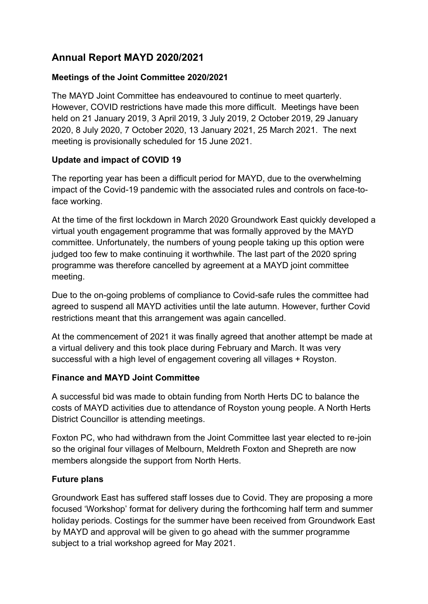# **Annual Report MAYD 2020/2021**

## **Meetings of the Joint Committee 2020/2021**

The MAYD Joint Committee has endeavoured to continue to meet quarterly. However, COVID restrictions have made this more difficult. Meetings have been held on 21 January 2019, 3 April 2019, 3 July 2019, 2 October 2019, 29 January 2020, 8 July 2020, 7 October 2020, 13 January 2021, 25 March 2021. The next meeting is provisionally scheduled for 15 June 2021.

## **Update and impact of COVID 19**

The reporting year has been a difficult period for MAYD, due to the overwhelming impact of the Covid-19 pandemic with the associated rules and controls on face-toface working.

At the time of the first lockdown in March 2020 Groundwork East quickly developed a virtual youth engagement programme that was formally approved by the MAYD committee. Unfortunately, the numbers of young people taking up this option were judged too few to make continuing it worthwhile. The last part of the 2020 spring programme was therefore cancelled by agreement at a MAYD joint committee meeting.

Due to the on-going problems of compliance to Covid-safe rules the committee had agreed to suspend all MAYD activities until the late autumn. However, further Covid restrictions meant that this arrangement was again cancelled.

At the commencement of 2021 it was finally agreed that another attempt be made at a virtual delivery and this took place during February and March. It was very successful with a high level of engagement covering all villages + Royston.

### **Finance and MAYD Joint Committee**

A successful bid was made to obtain funding from North Herts DC to balance the costs of MAYD activities due to attendance of Royston young people. A North Herts District Councillor is attending meetings.

Foxton PC, who had withdrawn from the Joint Committee last year elected to re-join so the original four villages of Melbourn, Meldreth Foxton and Shepreth are now members alongside the support from North Herts.

### **Future plans**

Groundwork East has suffered staff losses due to Covid. They are proposing a more focused 'Workshop' format for delivery during the forthcoming half term and summer holiday periods. Costings for the summer have been received from Groundwork East by MAYD and approval will be given to go ahead with the summer programme subject to a trial workshop agreed for May 2021.